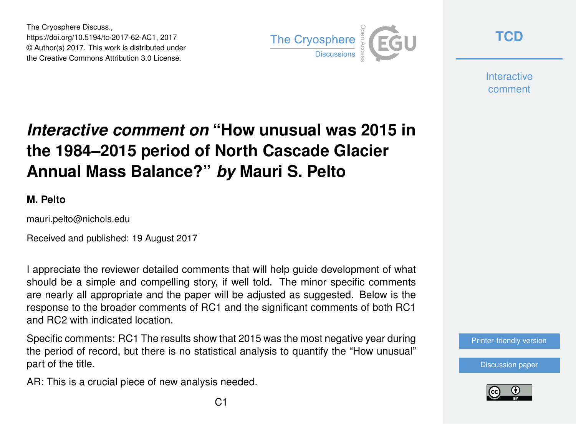The Cryosphere Discuss., https://doi.org/10.5194/tc-2017-62-AC1, 2017 © Author(s) 2017. This work is distributed under the Creative Commons Attribution 3.0 License.



**[TCD](https://www.the-cryosphere-discuss.net/)**

**Interactive** comment

# *Interactive comment on* **"How unusual was 2015 in the 1984–2015 period of North Cascade Glacier Annual Mass Balance?"** *by* **Mauri S. Pelto**

#### **M. Pelto**

mauri.pelto@nichols.edu

Received and published: 19 August 2017

I appreciate the reviewer detailed comments that will help guide development of what should be a simple and compelling story, if well told. The minor specific comments are nearly all appropriate and the paper will be adjusted as suggested. Below is the response to the broader comments of RC1 and the significant comments of both RC1 and RC2 with indicated location.

Specific comments: RC1 The results show that 2015 was the most negative year during the period of record, but there is no statistical analysis to quantify the "How unusual" part of the title.

AR: This is a crucial piece of new analysis needed.

[Printer-friendly version](https://www.the-cryosphere-discuss.net/tc-2017-62/tc-2017-62-AC1-print.pdf)

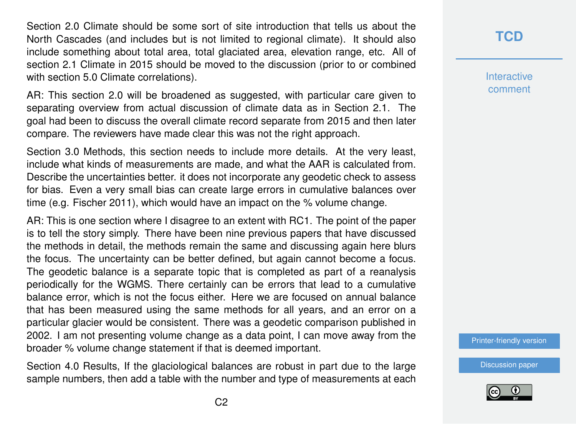Section 2.0 Climate should be some sort of site introduction that tells us about the North Cascades (and includes but is not limited to regional climate). It should also include something about total area, total glaciated area, elevation range, etc. All of section 2.1 Climate in 2015 should be moved to the discussion (prior to or combined with section 5.0 Climate correlations).

AR: This section 2.0 will be broadened as suggested, with particular care given to separating overview from actual discussion of climate data as in Section 2.1. The goal had been to discuss the overall climate record separate from 2015 and then later compare. The reviewers have made clear this was not the right approach.

Section 3.0 Methods, this section needs to include more details. At the very least, include what kinds of measurements are made, and what the AAR is calculated from. Describe the uncertainties better. it does not incorporate any geodetic check to assess for bias. Even a very small bias can create large errors in cumulative balances over time (e.g. Fischer 2011), which would have an impact on the % volume change.

AR: This is one section where I disagree to an extent with RC1. The point of the paper is to tell the story simply. There have been nine previous papers that have discussed the methods in detail, the methods remain the same and discussing again here blurs the focus. The uncertainty can be better defined, but again cannot become a focus. The geodetic balance is a separate topic that is completed as part of a reanalysis periodically for the WGMS. There certainly can be errors that lead to a cumulative balance error, which is not the focus either. Here we are focused on annual balance that has been measured using the same methods for all years, and an error on a particular glacier would be consistent. There was a geodetic comparison published in 2002. I am not presenting volume change as a data point, I can move away from the broader % volume change statement if that is deemed important.

Section 4.0 Results, If the glaciological balances are robust in part due to the large sample numbers, then add a table with the number and type of measurements at each

### **[TCD](https://www.the-cryosphere-discuss.net/)**

**Interactive** comment

[Printer-friendly version](https://www.the-cryosphere-discuss.net/tc-2017-62/tc-2017-62-AC1-print.pdf)

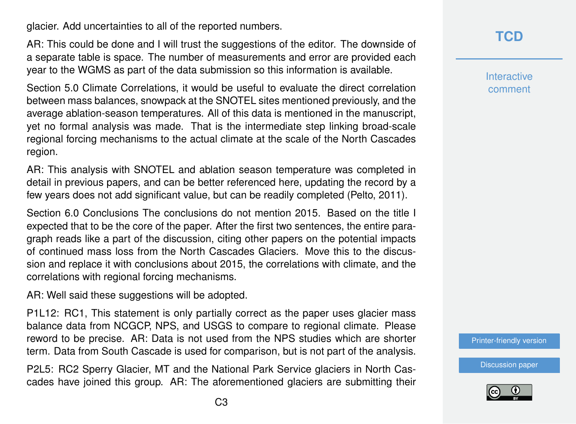glacier. Add uncertainties to all of the reported numbers.

AR: This could be done and I will trust the suggestions of the editor. The downside of a separate table is space. The number of measurements and error are provided each year to the WGMS as part of the data submission so this information is available.

Section 5.0 Climate Correlations, it would be useful to evaluate the direct correlation between mass balances, snowpack at the SNOTEL sites mentioned previously, and the average ablation-season temperatures. All of this data is mentioned in the manuscript, yet no formal analysis was made. That is the intermediate step linking broad-scale regional forcing mechanisms to the actual climate at the scale of the North Cascades region.

AR: This analysis with SNOTEL and ablation season temperature was completed in detail in previous papers, and can be better referenced here, updating the record by a few years does not add significant value, but can be readily completed (Pelto, 2011).

Section 6.0 Conclusions The conclusions do not mention 2015. Based on the title I expected that to be the core of the paper. After the first two sentences, the entire paragraph reads like a part of the discussion, citing other papers on the potential impacts of continued mass loss from the North Cascades Glaciers. Move this to the discussion and replace it with conclusions about 2015, the correlations with climate, and the correlations with regional forcing mechanisms.

AR: Well said these suggestions will be adopted.

P1L12: RC1, This statement is only partially correct as the paper uses glacier mass balance data from NCGCP, NPS, and USGS to compare to regional climate. Please reword to be precise. AR: Data is not used from the NPS studies which are shorter term. Data from South Cascade is used for comparison, but is not part of the analysis.

P2L5: RC2 Sperry Glacier, MT and the National Park Service glaciers in North Cascades have joined this group. AR: The aforementioned glaciers are submitting their **[TCD](https://www.the-cryosphere-discuss.net/)**

**Interactive** comment

[Printer-friendly version](https://www.the-cryosphere-discuss.net/tc-2017-62/tc-2017-62-AC1-print.pdf)

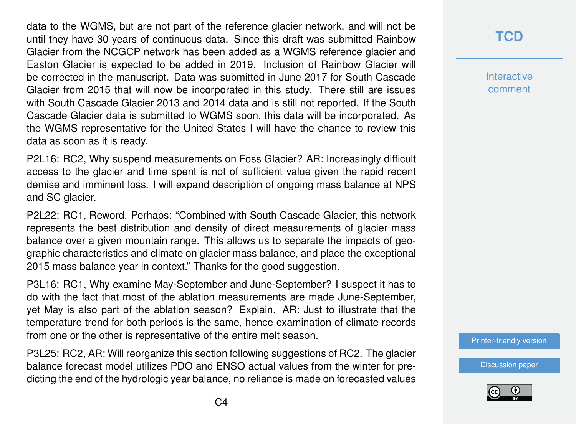data to the WGMS, but are not part of the reference glacier network, and will not be until they have 30 years of continuous data. Since this draft was submitted Rainbow Glacier from the NCGCP network has been added as a WGMS reference glacier and Easton Glacier is expected to be added in 2019. Inclusion of Rainbow Glacier will be corrected in the manuscript. Data was submitted in June 2017 for South Cascade Glacier from 2015 that will now be incorporated in this study. There still are issues with South Cascade Glacier 2013 and 2014 data and is still not reported. If the South Cascade Glacier data is submitted to WGMS soon, this data will be incorporated. As the WGMS representative for the United States I will have the chance to review this data as soon as it is ready.

P2L16: RC2, Why suspend measurements on Foss Glacier? AR: Increasingly difficult access to the glacier and time spent is not of sufficient value given the rapid recent demise and imminent loss. I will expand description of ongoing mass balance at NPS and SC glacier.

P2L22: RC1, Reword. Perhaps: "Combined with South Cascade Glacier, this network represents the best distribution and density of direct measurements of glacier mass balance over a given mountain range. This allows us to separate the impacts of geographic characteristics and climate on glacier mass balance, and place the exceptional 2015 mass balance year in context." Thanks for the good suggestion.

P3L16: RC1, Why examine May-September and June-September? I suspect it has to do with the fact that most of the ablation measurements are made June-September, yet May is also part of the ablation season? Explain. AR: Just to illustrate that the temperature trend for both periods is the same, hence examination of climate records from one or the other is representative of the entire melt season.

P3L25: RC2, AR: Will reorganize this section following suggestions of RC2. The glacier balance forecast model utilizes PDO and ENSO actual values from the winter for predicting the end of the hydrologic year balance, no reliance is made on forecasted values

## **[TCD](https://www.the-cryosphere-discuss.net/)**

**Interactive** comment

[Printer-friendly version](https://www.the-cryosphere-discuss.net/tc-2017-62/tc-2017-62-AC1-print.pdf)

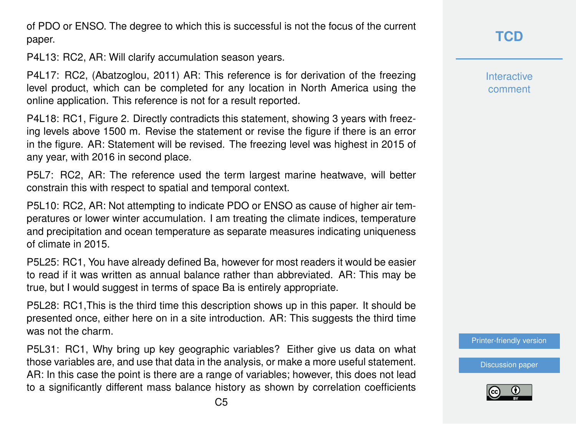of PDO or ENSO. The degree to which this is successful is not the focus of the current paper.

P4L13: RC2, AR: Will clarify accumulation season years.

P4L17: RC2, (Abatzoglou, 2011) AR: This reference is for derivation of the freezing level product, which can be completed for any location in North America using the online application. This reference is not for a result reported.

P4L18: RC1, Figure 2. Directly contradicts this statement, showing 3 years with freezing levels above 1500 m. Revise the statement or revise the figure if there is an error in the figure. AR: Statement will be revised. The freezing level was highest in 2015 of any year, with 2016 in second place.

P5L7: RC2, AR: The reference used the term largest marine heatwave, will better constrain this with respect to spatial and temporal context.

P5L10: RC2, AR: Not attempting to indicate PDO or ENSO as cause of higher air temperatures or lower winter accumulation. I am treating the climate indices, temperature and precipitation and ocean temperature as separate measures indicating uniqueness of climate in 2015.

P5L25: RC1, You have already defined Ba, however for most readers it would be easier to read if it was written as annual balance rather than abbreviated. AR: This may be true, but I would suggest in terms of space Ba is entirely appropriate.

P5L28: RC1,This is the third time this description shows up in this paper. It should be presented once, either here on in a site introduction. AR: This suggests the third time was not the charm.

P5L31: RC1, Why bring up key geographic variables? Either give us data on what those variables are, and use that data in the analysis, or make a more useful statement. AR: In this case the point is there are a range of variables; however, this does not lead to a significantly different mass balance history as shown by correlation coefficients

**[TCD](https://www.the-cryosphere-discuss.net/)**

**Interactive** comment

[Printer-friendly version](https://www.the-cryosphere-discuss.net/tc-2017-62/tc-2017-62-AC1-print.pdf)

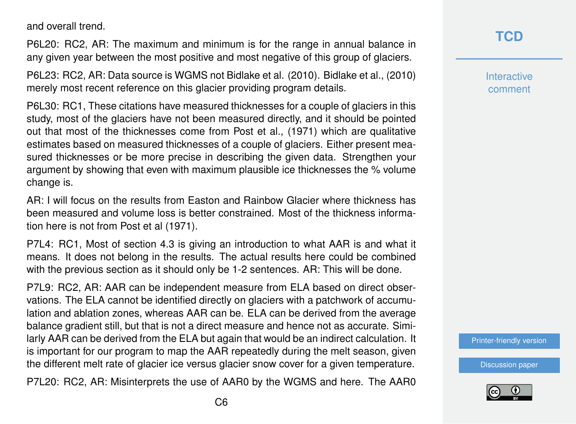and overall trend.

P6L20: RC2, AR: The maximum and minimum is for the range in annual balance in any given year between the most positive and most negative of this group of glaciers.

P6L23: RC2, AR: Data source is WGMS not Bidlake et al. (2010). Bidlake et al., (2010) merely most recent reference on this glacier providing program details.

P6L30: RC1, These citations have measured thicknesses for a couple of glaciers in this study, most of the glaciers have not been measured directly, and it should be pointed out that most of the thicknesses come from Post et al., (1971) which are qualitative estimates based on measured thicknesses of a couple of glaciers. Either present measured thicknesses or be more precise in describing the given data. Strengthen your argument by showing that even with maximum plausible ice thicknesses the % volume change is.

AR: I will focus on the results from Easton and Rainbow Glacier where thickness has been measured and volume loss is better constrained. Most of the thickness information here is not from Post et al (1971).

P7L4: RC1, Most of section 4.3 is giving an introduction to what AAR is and what it means. It does not belong in the results. The actual results here could be combined with the previous section as it should only be 1-2 sentences. AR: This will be done.

P7L9: RC2, AR: AAR can be independent measure from ELA based on direct observations. The ELA cannot be identified directly on glaciers with a patchwork of accumulation and ablation zones, whereas AAR can be. ELA can be derived from the average balance gradient still, but that is not a direct measure and hence not as accurate. Similarly AAR can be derived from the ELA but again that would be an indirect calculation. It is important for our program to map the AAR repeatedly during the melt season, given the different melt rate of glacier ice versus glacier snow cover for a given temperature.

P7L20: RC2, AR: Misinterprets the use of AAR0 by the WGMS and here. The AAR0

**Interactive** comment

[Printer-friendly version](https://www.the-cryosphere-discuss.net/tc-2017-62/tc-2017-62-AC1-print.pdf)

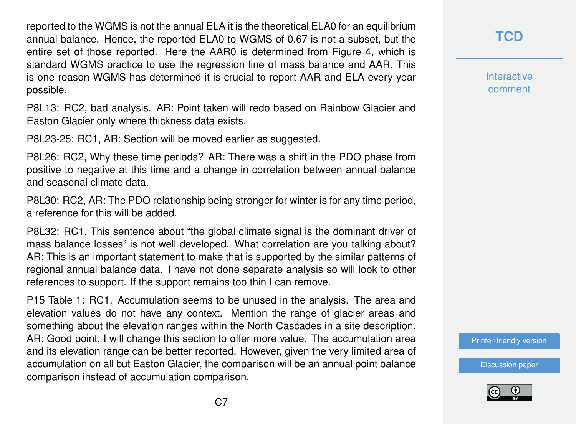reported to the WGMS is not the annual ELA it is the theoretical ELA0 for an equilibrium annual balance. Hence, the reported ELA0 to WGMS of 0.67 is not a subset, but the entire set of those reported. Here the AAR0 is determined from Figure 4, which is standard WGMS practice to use the regression line of mass balance and AAR. This is one reason WGMS has determined it is crucial to report AAR and ELA every year possible.

P8L13: RC2, bad analysis. AR: Point taken will redo based on Rainbow Glacier and Easton Glacier only where thickness data exists.

P8L23-25: RC1, AR: Section will be moved earlier as suggested.

P8L26: RC2, Why these time periods? AR: There was a shift in the PDO phase from positive to negative at this time and a change in correlation between annual balance and seasonal climate data.

P8L30: RC2, AR: The PDO relationship being stronger for winter is for any time period, a reference for this will be added.

P8L32: RC1, This sentence about "the global climate signal is the dominant driver of mass balance losses" is not well developed. What correlation are you talking about? AR: This is an important statement to make that is supported by the similar patterns of regional annual balance data. I have not done separate analysis so will look to other references to support. If the support remains too thin I can remove.

P15 Table 1: RC1. Accumulation seems to be unused in the analysis. The area and elevation values do not have any context. Mention the range of glacier areas and something about the elevation ranges within the North Cascades in a site description. AR: Good point, I will change this section to offer more value. The accumulation area and its elevation range can be better reported. However, given the very limited area of accumulation on all but Easton Glacier, the comparison will be an annual point balance comparison instead of accumulation comparison.

**[TCD](https://www.the-cryosphere-discuss.net/)**

**Interactive** comment

[Printer-friendly version](https://www.the-cryosphere-discuss.net/tc-2017-62/tc-2017-62-AC1-print.pdf)

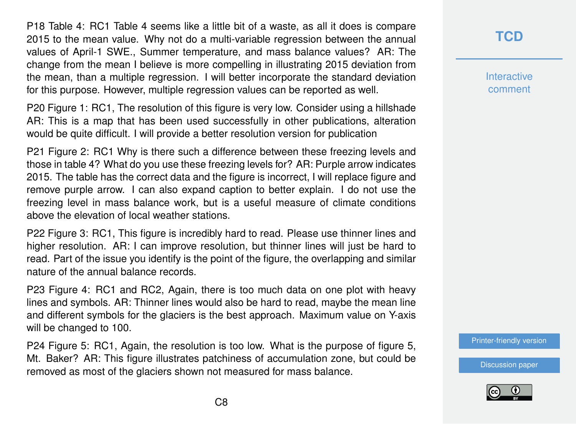P18 Table 4: RC1 Table 4 seems like a little bit of a waste, as all it does is compare 2015 to the mean value. Why not do a multi-variable regression between the annual values of April-1 SWE., Summer temperature, and mass balance values? AR: The change from the mean I believe is more compelling in illustrating 2015 deviation from the mean, than a multiple regression. I will better incorporate the standard deviation for this purpose. However, multiple regression values can be reported as well.

P20 Figure 1: RC1, The resolution of this figure is very low. Consider using a hillshade AR: This is a map that has been used successfully in other publications, alteration would be quite difficult. I will provide a better resolution version for publication

P21 Figure 2: RC1 Why is there such a difference between these freezing levels and those in table 4? What do you use these freezing levels for? AR: Purple arrow indicates 2015. The table has the correct data and the figure is incorrect, I will replace figure and remove purple arrow. I can also expand caption to better explain. I do not use the freezing level in mass balance work, but is a useful measure of climate conditions above the elevation of local weather stations.

P22 Figure 3: RC1, This figure is incredibly hard to read. Please use thinner lines and higher resolution. AR: I can improve resolution, but thinner lines will just be hard to read. Part of the issue you identify is the point of the figure, the overlapping and similar nature of the annual balance records.

P23 Figure 4: RC1 and RC2, Again, there is too much data on one plot with heavy lines and symbols. AR: Thinner lines would also be hard to read, maybe the mean line and different symbols for the glaciers is the best approach. Maximum value on Y-axis will be changed to 100.

P24 Figure 5: RC1, Again, the resolution is too low. What is the purpose of figure 5, Mt. Baker? AR: This figure illustrates patchiness of accumulation zone, but could be removed as most of the glaciers shown not measured for mass balance.

**[TCD](https://www.the-cryosphere-discuss.net/)**

**Interactive** comment

[Printer-friendly version](https://www.the-cryosphere-discuss.net/tc-2017-62/tc-2017-62-AC1-print.pdf)